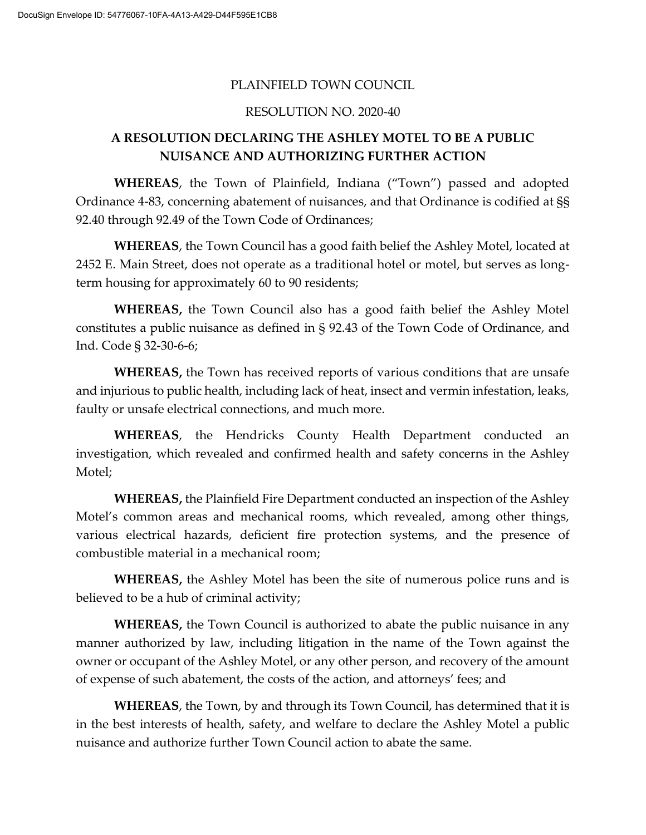#### PLAINFIELD TOWN COUNCIL

#### RESOLUTION NO. 2020-40

### **A RESOLUTION DECLARING THE ASHLEY MOTEL TO BE A PUBLIC NUISANCE AND AUTHORIZING FURTHER ACTION**

**WHEREAS**, the Town of Plainfield, Indiana ("Town") passed and adopted Ordinance 4-83, concerning abatement of nuisances, and that Ordinance is codified at §§ 92.40 through 92.49 of the Town Code of Ordinances;

**WHEREAS**, the Town Council has a good faith belief the Ashley Motel, located at 2452 E. Main Street, does not operate as a traditional hotel or motel, but serves as longterm housing for approximately 60 to 90 residents;

**WHEREAS,** the Town Council also has a good faith belief the Ashley Motel constitutes a public nuisance as defined in § 92.43 of the Town Code of Ordinance, and Ind. Code § 32-30-6-6;

**WHEREAS,** the Town has received reports of various conditions that are unsafe and injurious to public health, including lack of heat, insect and vermin infestation, leaks, faulty or unsafe electrical connections, and much more.

**WHEREAS**, the Hendricks County Health Department conducted an investigation, which revealed and confirmed health and safety concerns in the Ashley Motel;

**WHEREAS,** the Plainfield Fire Department conducted an inspection of the Ashley Motel's common areas and mechanical rooms, which revealed, among other things, various electrical hazards, deficient fire protection systems, and the presence of combustible material in a mechanical room;

**WHEREAS,** the Ashley Motel has been the site of numerous police runs and is believed to be a hub of criminal activity;

**WHEREAS,** the Town Council is authorized to abate the public nuisance in any manner authorized by law, including litigation in the name of the Town against the owner or occupant of the Ashley Motel, or any other person, and recovery of the amount of expense of such abatement, the costs of the action, and attorneys' fees; and

**WHEREAS**, the Town, by and through its Town Council, has determined that it is in the best interests of health, safety, and welfare to declare the Ashley Motel a public nuisance and authorize further Town Council action to abate the same.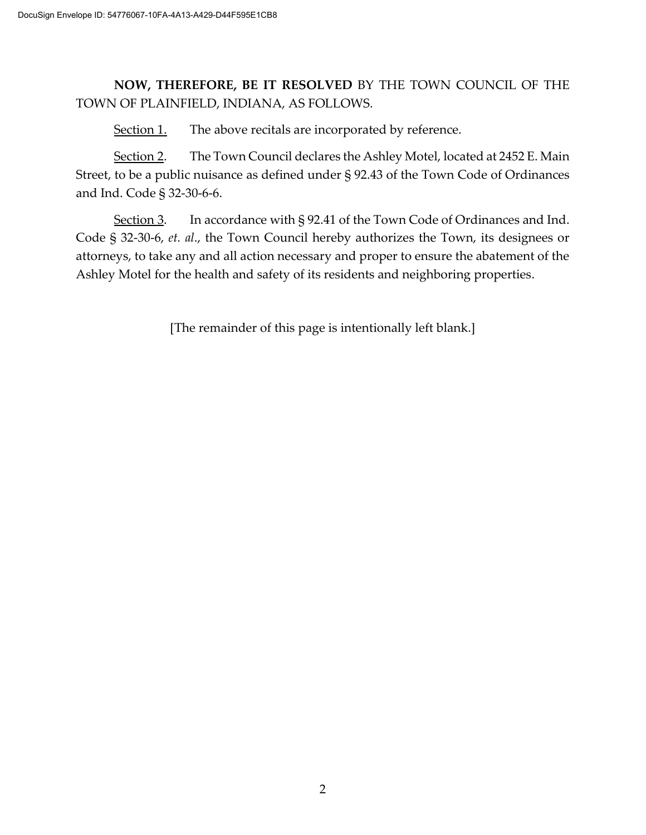## **NOW, THEREFORE, BE IT RESOLVED** BY THE TOWN COUNCIL OF THE TOWN OF PLAINFIELD, INDIANA, AS FOLLOWS.

Section 1. The above recitals are incorporated by reference.

Section 2. The Town Council declares the Ashley Motel, located at 2452 E. Main Street, to be a public nuisance as defined under § 92.43 of the Town Code of Ordinances and Ind. Code § 32-30-6-6.

Section 3. In accordance with § 92.41 of the Town Code of Ordinances and Ind. Code § 32-30-6, *et. al*., the Town Council hereby authorizes the Town, its designees or attorneys, to take any and all action necessary and proper to ensure the abatement of the Ashley Motel for the health and safety of its residents and neighboring properties.

[The remainder of this page is intentionally left blank.]